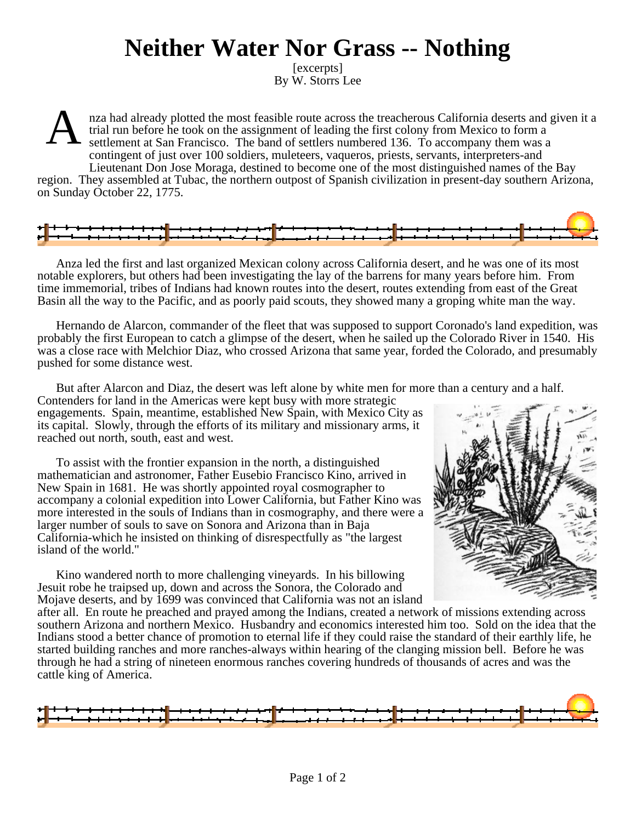## **Neither Water Nor Grass -- Nothing**

[excerpts] By W. Storrs Lee

A nza had already plotted the most feasible route across the treacherous California deserts and given it a trial run before he took on the assignment of leading the first colony from Mexico to form a settlement at San Francisco. The band of settlers numbered 136. To accompany them was a contingent of just over 100 soldiers, muleteers, vaqueros, priests, servants, interpreters-and Lieutenant Don Jose Moraga, destined to become one of the most distinguished names of the Bay

region. They assembled at Tubac, the northern outpost of Spanish civilization in present-day southern Arizona, on Sunday October 22, 1775.



Anza led the first and last organized Mexican colony across California desert, and he was one of its most notable explorers, but others had been investigating the lay of the barrens for many years before him. From time immemorial, tribes of Indians had known routes into the desert, routes extending from east of the Great Basin all the way to the Pacific, and as poorly paid scouts, they showed many a groping white man the way.

Hernando de Alarcon, commander of the fleet that was supposed to support Coronado's land expedition, was probably the first European to catch a glimpse of the desert, when he sailed up the Colorado River in 1540. His was a close race with Melchior Diaz, who crossed Arizona that same year, forded the Colorado, and presumably pushed for some distance west.

But after Alarcon and Diaz, the desert was left alone by white men for more than a century and a half.

Contenders for land in the Americas were kept busy with more strategic engagements. Spain, meantime, established New Spain, with Mexico City as its capital. Slowly, through the efforts of its military and missionary arms, it reached out north, south, east and west.

To assist with the frontier expansion in the north, a distinguished mathematician and astronomer, Father Eusebio Francisco Kino, arrived in New Spain in 1681. He was shortly appointed royal cosmographer to accompany a colonial expedition into Lower California, but Father Kino was more interested in the souls of Indians than in cosmography, and there were a larger number of souls to save on Sonora and Arizona than in Baja California-which he insisted on thinking of disrespectfully as "the largest island of the world."



Kino wandered north to more challenging vineyards. In his billowing Jesuit robe he traipsed up, down and across the Sonora, the Colorado and Mojave deserts, and by 1699 was convinced that California was not an island

after all. En route he preached and prayed among the Indians, created a network of missions extending across southern Arizona and northern Mexico. Husbandry and economics interested him too. Sold on the idea that the Indians stood a better chance of promotion to eternal life if they could raise the standard of their earthly life, he started building ranches and more ranches-always within hearing of the clanging mission bell. Before he was through he had a string of nineteen enormous ranches covering hundreds of thousands of acres and was the cattle king of America.